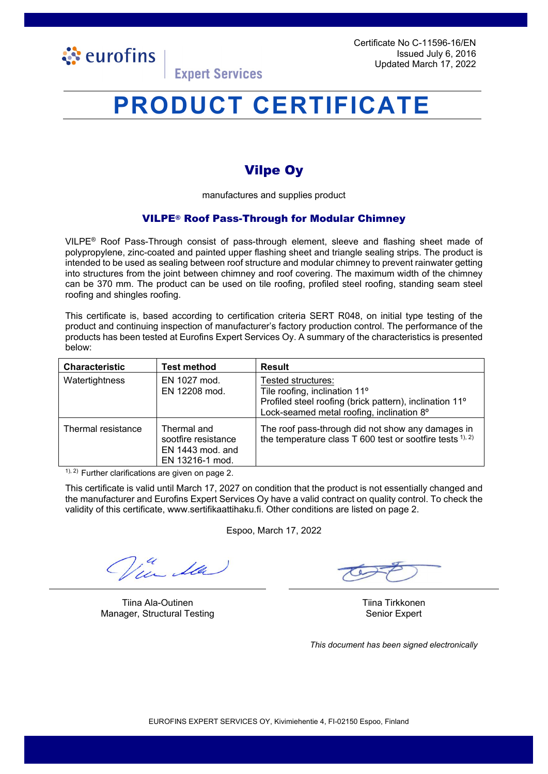

Certificate No C-11596-16/EN Issued July 6, 2016 Updated March 17, 2022

### **Expert Services**

# **PRODUCT CERTIFICATE**

### Vilpe Oy

manufactures and supplies product

#### VILPE® Roof Pass-Through for Modular Chimney

VILPE® Roof Pass-Through consist of pass-through element, sleeve and flashing sheet made of polypropylene, zinc-coated and painted upper flashing sheet and triangle sealing strips. The product is intended to be used as sealing between roof structure and modular chimney to prevent rainwater getting into structures from the joint between chimney and roof covering. The maximum width of the chimney can be 370 mm. The product can be used on tile roofing, profiled steel roofing, standing seam steel roofing and shingles roofing.

This certificate is, based according to certification criteria SERT R048, on initial type testing of the product and continuing inspection of manufacturer's factory production control. The performance of the products has been tested at Eurofins Expert Services Oy. A summary of the characteristics is presented below:

| <b>Characteristic</b> | <b>Test method</b>                                                          | <b>Result</b>                                                                                                                                                           |
|-----------------------|-----------------------------------------------------------------------------|-------------------------------------------------------------------------------------------------------------------------------------------------------------------------|
| Watertightness        | EN 1027 mod.<br>EN 12208 mod.                                               | Tested structures:<br>Tile roofing, inclination 11°<br>Profiled steel roofing (brick pattern), inclination 11 <sup>o</sup><br>Lock-seamed metal roofing, inclination 8° |
| Thermal resistance    | Thermal and<br>sootfire resistance<br>$EN$ 1443 mod. and<br>EN 13216-1 mod. | The roof pass-through did not show any damages in<br>the temperature class T 600 test or sootfire tests 1), 2)                                                          |

 $1$ ),  $2$ ) Further clarifications are given on page 2.

This certificate is valid until March 17, 2027 on condition that the product is not essentially changed and the manufacturer and Eurofins Expert Services Oy have a valid contract on quality control. To check the validity of this certificate, www.sertifikaattihaku.fi. Other conditions are listed on page 2.

Espoo, March 17, 2022

La

Tiina Ala-Outinen Tiina Tirkkonen Manager, Structural Testing Senior Expert Senior Expert

*This document has been signed electronically*